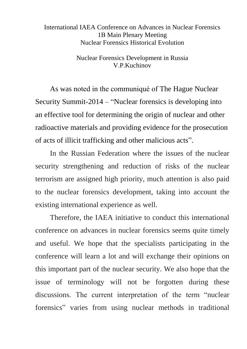## International IAEA Conference on Advances in Nuclear Forensics 1В Main Plenary Meeting Nuclear Forensics Historical Evolution

Nuclear Forensics Development in Russia V.P.Kuchinov

As was noted in the communiqué of The Hague Nuclear Security Summit-2014 – "Nuclear forensics is developing into an effective tool for determining the origin of nuclear and other radioactive materials and providing evidence for the prosecution of acts of illicit trafficking and other malicious acts".

In the Russian Federation where the issues of the nuclear security strengthening and reduction of risks of the nuclear terrorism are assigned high priority, much attention is also paid to the nuclear forensics development, taking into account the existing international experience as well.

Therefore, the IAEA initiative to conduct this international conference on advances in nuclear forensics seems quite timely and useful. We hope that the specialists participating in the conference will learn a lot and will exchange their opinions on this important part of the nuclear security. We also hope that the issue of terminology will not be forgotten during these discussions. The current interpretation of the term "nuclear forensics" varies from using nuclear methods in traditional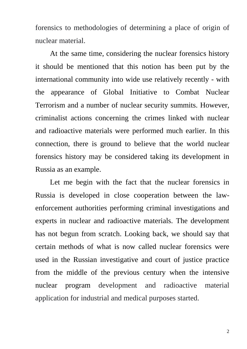forensics to methodologies of determining a place of origin of nuclear material.

At the same time, considering the nuclear forensics history it should be mentioned that this notion has been put by the international community into wide use relatively recently - with the appearance of Global Initiative to Combat Nuclear Terrorism and a number of nuclear security summits. However, criminalist actions concerning the crimes linked with nuclear and radioactive materials were performed much earlier. In this connection, there is ground to believe that the world nuclear forensics history may be considered taking its development in Russia as an example.

Let me begin with the fact that the nuclear forensics in Russia is developed in close cooperation between the lawenforcement authorities performing criminal investigations and experts in nuclear and radioactive materials. The development has not begun from scratch. Looking back, we should say that certain methods of what is now called nuclear forensics were used in the Russian investigative and court of justice practice from the middle of the previous century when the intensive nuclear program development and radioactive material application for industrial and medical purposes started.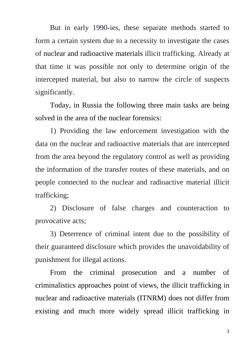But in early 1990-ies, these separate methods started to form a certain system due to a necessity to investigate the cases of nuclear and radioactive materials illicit trafficking. Already at that time it was possible not only to determine origin of the intercepted material, but also to narrow the circle of suspects significantly.

Today, in Russia the following three main tasks are being solved in the area of the nuclear forensics:

1) Providing the law enforcement investigation with the data on the nuclear and radioactive materials that are intercepted from the area beyond the regulatory control as well as providing the information of the transfer routes of these materials, and on people connected to the nuclear and radioactive material illicit trafficking;

2) Disclosure of false charges and counteraction to provocative acts;

3) Deterrence of criminal intent due to the possibility of their guaranteed disclosure which provides the unavoidability of punishment for illegal actions.

From the criminal prosecution and a number of criminalistics approaches point of views, the illicit trafficking in nuclear and radioactive materials (ITNRM) does not differ from existing and much more widely spread illicit trafficking in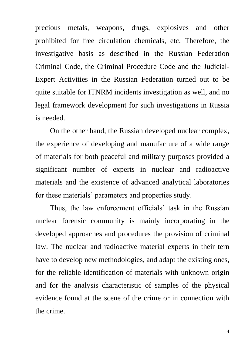precious metals, weapons, drugs, explosives and other prohibited for free circulation chemicals, etc. Therefore, the investigative basis as described in the Russian Federation Criminal Code, the Criminal Procedure Code and the Judicial-Expert Activities in the Russian Federation turned out to be quite suitable for ITNRM incidents investigation as well, and no legal framework development for such investigations in Russia is needed.

On the other hand, the Russian developed nuclear complex, the experience of developing and manufacture of a wide range of materials for both peaceful and military purposes provided a significant number of experts in nuclear and radioactive materials and the existence of advanced analytical laboratories for these materials' parameters and properties study.

Thus, the law enforcement officials' task in the Russian nuclear forensic community is mainly incorporating in the developed approaches and procedures the provision of criminal law. The nuclear and radioactive material experts in their tern have to develop new methodologies, and adapt the existing ones, for the reliable identification of materials with unknown origin and for the analysis characteristic of samples of the physical evidence found at the scene of the crime or in connection with the crime.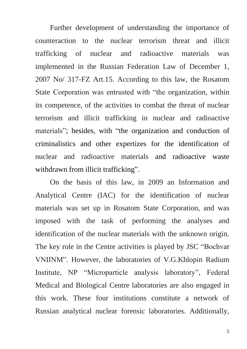Further development of understanding the importance of counteraction to the nuclear terrorism threat and illicit trafficking of nuclear and radioactive materials was implemented in the Russian Federation Law of December 1, 2007 No/ 317-FZ Art.15. According to this law, the Rosatom State Corporation was entrusted with "the organization, within its competence, of the activities to combat the threat of nuclear terrorism and illicit trafficking in nuclear and radioactive materials"; besides, with "the organization and conduction of criminalistics and other expertizes for the identification of nuclear and radioactive materials and radioactive waste withdrawn from illicit trafficking".

On the basis of this law, in 2009 an Information and Analytical Centre (IAC) for the identification of nuclear materials was set up in Rosatom State Corporation, and was imposed with the task of performing the analyses and identification of the nuclear materials with the unknown origin. The key role in the Centre activities is played by JSC "Bochvar VNIINM". However, the laboratories of V.G.Khlopin Radium Institute, NP "Microparticle analysis laboratory", Federal Medical and Biological Centre laboratories are also engaged in this work. These four institutions constitute a network of Russian analytical nuclear forensic laboratories. Additionally,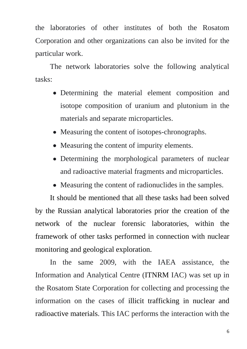the laboratories of other institutes of both the Rosatom Corporation and other organizations can also be invited for the particular work.

The network laboratories solve the following analytical tasks:

- Determining the material element composition and isotope composition of uranium and plutonium in the materials and separate microparticles.
- Measuring the content of isotopes-chronographs.
- Measuring the content of impurity elements.
- Determining the morphological parameters of nuclear and radioactive material fragments and microparticles.
- Measuring the content of radionuclides in the samples.

It should be mentioned that all these tasks had been solved by the Russian analytical laboratories prior the creation of the network of the nuclear forensic laboratories, within the framework of other tasks performed in connection with nuclear monitoring and geological exploration.

In the same 2009, with the IAEA assistance, the Information and Analytical Centre (ITNRM IAC) was set up in the Rosatom State Corporation for collecting and processing the information on the cases of illicit trafficking in nuclear and radioactive materials. This IAC performs the interaction with the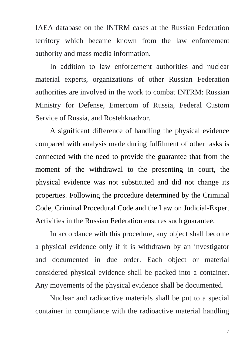IAEA database on the INTRM cases at the Russian Federation territory which became known from the law enforcement authority and mass media information.

In addition to law enforcement authorities and nuclear material experts, organizations of other Russian Federation authorities are involved in the work to combat INTRM: Russian Ministry for Defense, Emercom of Russia, Federal Custom Service of Russia, and Rostehknadzor.

A significant difference of handling the physical evidence compared with analysis made during fulfilment of other tasks is connected with the need to provide the guarantee that from the moment of the withdrawal to the presenting in court, the physical evidence was not substituted and did not change its properties. Following the procedure determined by the Criminal Code, Criminal Procedural Code and the Law on Judicial-Expert Activities in the Russian Federation ensures such guarantee.

In accordance with this procedure, any object shall become a physical evidence only if it is withdrawn by an investigator and documented in due order. Each object or material considered physical evidence shall be packed into a container. Any movements of the physical evidence shall be documented.

Nuclear and radioactive materials shall be put to a special container in compliance with the radioactive material handling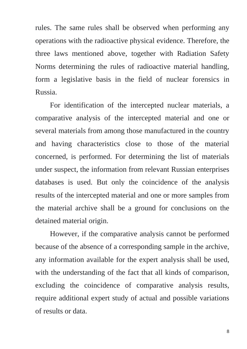rules. The same rules shall be observed when performing any operations with the radioactive physical evidence. Therefore, the three laws mentioned above, together with Radiation Safety Norms determining the rules of radioactive material handling, form a legislative basis in the field of nuclear forensics in Russia.

For identification of the intercepted nuclear materials, a comparative analysis of the intercepted material and one or several materials from among those manufactured in the country and having characteristics close to those of the material concerned, is performed. For determining the list of materials under suspect, the information from relevant Russian enterprises databases is used. But only the coincidence of the analysis results of the intercepted material and one or more samples from the material archive shall be a ground for conclusions on the detained material origin.

However, if the comparative analysis cannot be performed because of the absence of a corresponding sample in the archive, any information available for the expert analysis shall be used, with the understanding of the fact that all kinds of comparison, excluding the coincidence of comparative analysis results, require additional expert study of actual and possible variations of results or data.

8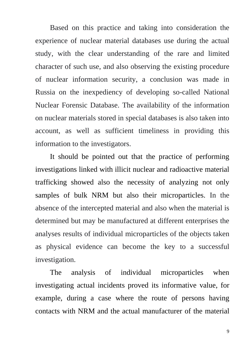Based on this practice and taking into consideration the experience of nuclear material databases use during the actual study, with the clear understanding of the rare and limited character of such use, and also observing the existing procedure of nuclear information security, a conclusion was made in Russia on the inexpediency of developing so-called National Nuclear Forensic Database. The availability of the information on nuclear materials stored in special databases is also taken into account, as well as sufficient timeliness in providing this information to the investigators.

It should be pointed out that the practice of performing investigations linked with illicit nuclear and radioactive material trafficking showed also the necessity of analyzing not only samples of bulk NRM but also their microparticles. In the absence of the intercepted material and also when the material is determined but may be manufactured at different enterprises the analyses results of individual microparticles of the objects taken as physical evidence can become the key to a successful investigation.

The analysis of individual microparticles when investigating actual incidents proved its informative value, for example, during a case where the route of persons having contacts with NRM and the actual manufacturer of the material

9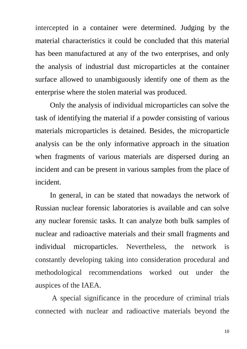intercepted in a container were determined. Judging by the material characteristics it could be concluded that this material has been manufactured at any of the two enterprises, and only the analysis of industrial dust microparticles at the container surface allowed to unambiguously identify one of them as the enterprise where the stolen material was produced.

Only the analysis of individual microparticles can solve the task of identifying the material if a powder consisting of various materials microparticles is detained. Besides, the microparticle analysis can be the only informative approach in the situation when fragments of various materials are dispersed during an incident and can be present in various samples from the place of incident.

In general, in can be stated that nowadays the network of Russian nuclear forensic laboratories is available and can solve any nuclear forensic tasks. It can analyze both bulk samples of nuclear and radioactive materials and their small fragments and individual microparticles. Nevertheless, the network is constantly developing taking into consideration procedural and methodological recommendations worked out under the auspices of the IAEA.

A special significance in the procedure of criminal trials connected with nuclear and radioactive materials beyond the

10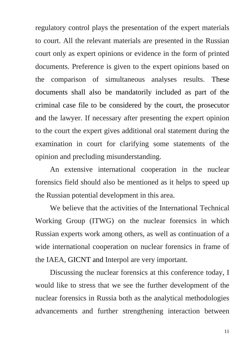regulatory control plays the presentation of the expert materials to court. All the relevant materials are presented in the Russian court only as expert opinions or evidence in the form of printed documents. Preference is given to the expert opinions based on the comparison of simultaneous analyses results. These documents shall also be mandatorily included as part of the criminal case file to be considered by the court, the prosecutor and the lawyer. If necessary after presenting the expert opinion to the court the expert gives additional oral statement during the examination in court for clarifying some statements of the opinion and precluding misunderstanding.

An extensive international cooperation in the nuclear forensics field should also be mentioned as it helps to speed up the Russian potential development in this area.

We believe that the activities of the International Technical Working Group (ITWG) on the nuclear forensics in which Russian experts work among others, as well as continuation of a wide international cooperation on nuclear forensics in frame of the IAEA, GICNT and Interpol are very important.

Discussing the nuclear forensics at this conference today, I would like to stress that we see the further development of the nuclear forensics in Russia both as the analytical methodologies advancements and further strengthening interaction between